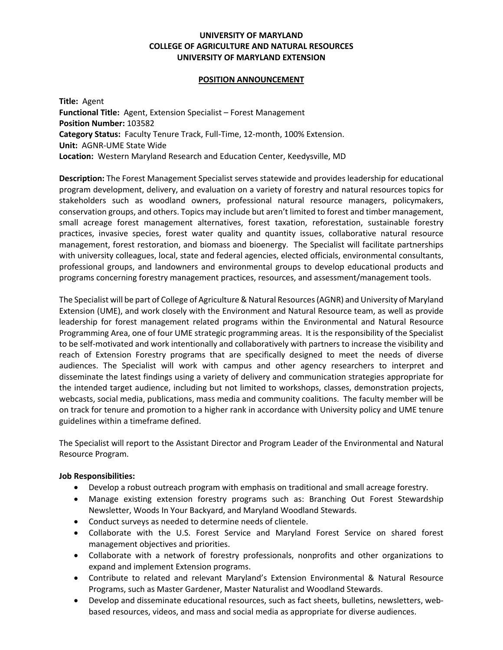# **UNIVERSITY OF MARYLAND COLLEGE OF AGRICULTURE AND NATURAL RESOURCES UNIVERSITY OF MARYLAND EXTENSION**

### **POSITION ANNOUNCEMENT**

**Title:** Agent **Functional Title:** Agent, Extension Specialist – Forest Management **Position Number:** 103582 **Category Status:** Faculty Tenure Track, Full-Time, 12-month, 100% Extension. **Unit:** AGNR-UME State Wide **Location:** Western Maryland Research and Education Center, Keedysville, MD

**Description:** The Forest Management Specialist serves statewide and provides leadership for educational program development, delivery, and evaluation on a variety of forestry and natural resources topics for stakeholders such as woodland owners, professional natural resource managers, policymakers, conservation groups, and others. Topics may include but aren't limited to forest and timber management, small acreage forest management alternatives, forest taxation, reforestation, sustainable forestry practices, invasive species, forest water quality and quantity issues, collaborative natural resource management, forest restoration, and biomass and bioenergy. The Specialist will facilitate partnerships with university colleagues, local, state and federal agencies, elected officials, environmental consultants, professional groups, and landowners and environmental groups to develop educational products and programs concerning forestry management practices, resources, and assessment/management tools.

The Specialist will be part of College of Agriculture & Natural Resources(AGNR) and University of Maryland Extension (UME), and work closely with the Environment and Natural Resource team, as well as provide leadership for forest management related programs within the Environmental and Natural Resource Programming Area, one of four UME strategic programming areas. It is the responsibility of the Specialist to be self-motivated and work intentionally and collaboratively with partners to increase the visibility and reach of Extension Forestry programs that are specifically designed to meet the needs of diverse audiences. The Specialist will work with campus and other agency researchers to interpret and disseminate the latest findings using a variety of delivery and communication strategies appropriate for the intended target audience, including but not limited to workshops, classes, demonstration projects, webcasts, social media, publications, mass media and community coalitions. The faculty member will be on track for tenure and promotion to a higher rank in accordance with University policy and UME tenure guidelines within a timeframe defined.

The Specialist will report to the Assistant Director and Program Leader of the Environmental and Natural Resource Program.

## **Job Responsibilities:**

- Develop a robust outreach program with emphasis on traditional and small acreage forestry.
- Manage existing extension forestry programs such as: Branching Out Forest Stewardship Newsletter, Woods In Your Backyard, and Maryland Woodland Stewards.
- Conduct surveys as needed to determine needs of clientele.
- Collaborate with the U.S. Forest Service and Maryland Forest Service on shared forest management objectives and priorities.
- Collaborate with a network of forestry professionals, nonprofits and other organizations to expand and implement Extension programs.
- Contribute to related and relevant Maryland's Extension Environmental & Natural Resource Programs, such as Master Gardener, Master Naturalist and Woodland Stewards.
- Develop and disseminate educational resources, such as fact sheets, bulletins, newsletters, webbased resources, videos, and mass and social media as appropriate for diverse audiences.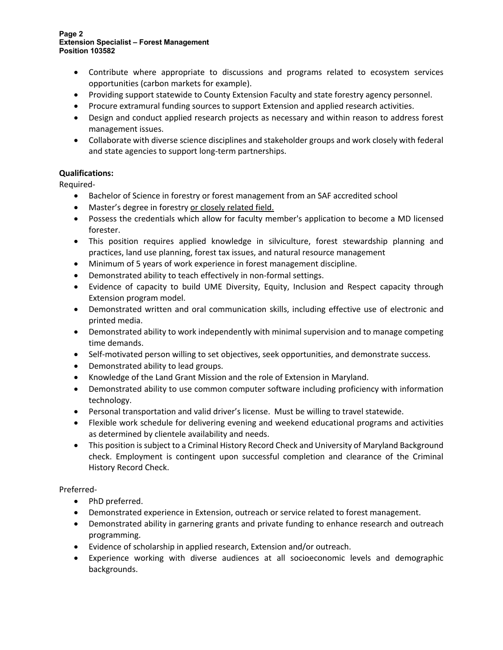#### **Page 2 Extension Specialist – Forest Management Position 103582**

- Contribute where appropriate to discussions and programs related to ecosystem services opportunities (carbon markets for example).
- Providing support statewide to County Extension Faculty and state forestry agency personnel.
- Procure extramural funding sources to support Extension and applied research activities.
- Design and conduct applied research projects as necessary and within reason to address forest management issues.
- Collaborate with diverse science disciplines and stakeholder groups and work closely with federal and state agencies to support long-term partnerships.

# **Qualifications:**

Required-

- Bachelor of Science in forestry or forest management from an SAF accredited school
- Master's degree in forestry or closely related field.
- Possess the credentials which allow for faculty member's application to become a MD licensed forester.
- This position requires applied knowledge in silviculture, forest stewardship planning and practices, land use planning, forest tax issues, and natural resource management
- Minimum of 5 years of work experience in forest management discipline.
- Demonstrated ability to teach effectively in non-formal settings.
- Evidence of capacity to build UME Diversity, Equity, Inclusion and Respect capacity through Extension program model.
- Demonstrated written and oral communication skills, including effective use of electronic and printed media.
- Demonstrated ability to work independently with minimal supervision and to manage competing time demands.
- Self-motivated person willing to set objectives, seek opportunities, and demonstrate success.
- Demonstrated ability to lead groups.
- Knowledge of the Land Grant Mission and the role of Extension in Maryland.
- Demonstrated ability to use common computer software including proficiency with information technology.
- Personal transportation and valid driver's license. Must be willing to travel statewide.
- Flexible work schedule for delivering evening and weekend educational programs and activities as determined by clientele availability and needs.
- This position is subject to a Criminal History Record Check and University of Maryland Background check. Employment is contingent upon successful completion and clearance of the Criminal History Record Check.

## Preferred-

- PhD preferred.
- Demonstrated experience in Extension, outreach or service related to forest management.
- Demonstrated ability in garnering grants and private funding to enhance research and outreach programming.
- Evidence of scholarship in applied research, Extension and/or outreach.
- Experience working with diverse audiences at all socioeconomic levels and demographic backgrounds.